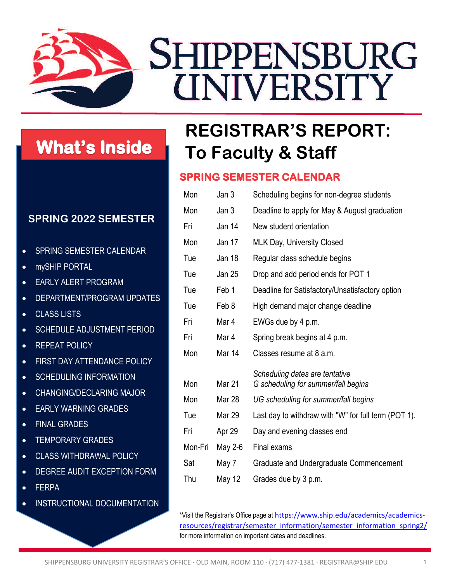

# **What's Inside**

### **SPRING 2022 SEMESTER**

- SPRING SEMESTER CALENDAR
- mySHIP PORTAL
- EARLY ALERT PROGRAM
- DEPARTMENT/PROGRAM UPDATES
- CLASS LISTS
- SCHEDULE ADJUSTMENT PERIOD
- **REPEAT POLICY**
- FIRST DAY ATTENDANCE POLICY
- SCHEDULING INFORMATION
- CHANGING/DECLARING MAJOR
- EARLY WARNING GRADES
- FINAL GRADES
- TEMPORARY GRADES
- CLASS WITHDRAWAL POLICY
- DEGREE AUDIT EXCEPTION FORM
- FERPA
- INSTRUCTIONAL DOCUMENTATION

# **REGISTRAR'S REPORT: To Faculty & Staff**

### **SPRING SEMESTER CALENDAR**

| Mon     | Jan 3         | Scheduling begins for non-degree students                             |
|---------|---------------|-----------------------------------------------------------------------|
| Mon     | Jan 3         | Deadline to apply for May & August graduation                         |
| Fri     | Jan 14        | New student orientation                                               |
| Mon     | Jan 17        | <b>MLK Day, University Closed</b>                                     |
| Tue     | Jan 18        | Regular class schedule begins                                         |
| Tue     | <b>Jan 25</b> | Drop and add period ends for POT 1                                    |
| Tue     | Feb 1         | Deadline for Satisfactory/Unsatisfactory option                       |
| Tue     | Feb 8         | High demand major change deadline                                     |
| Fri     | Mar 4         | EWGs due by 4 p.m.                                                    |
| Fri     | Mar 4         | Spring break begins at 4 p.m.                                         |
| Mon     | Mar 14        | Classes resume at 8 a.m.                                              |
| Mon     | Mar 21        | Scheduling dates are tentative<br>G scheduling for summer/fall begins |
| Mon     | Mar 28        | UG scheduling for summer/fall begins                                  |
| Tue     | Mar 29        | Last day to withdraw with "W" for full term (POT 1).                  |
| Fri     | Apr 29        | Day and evening classes end                                           |
| Mon-Fri | May 2-6       | Final exams                                                           |
| Sat     | May 7         | Graduate and Undergraduate Commencement                               |
| Thu     | May 12        | Grades due by 3 p.m.                                                  |

\*Visit the Registrar's Office page at [https://www.ship.edu/academics/academics](https://www.ship.edu/academics/academics-resources/registrar/semester_information/semester_information_spring2/)[resources/registrar/semester\\_information/semester\\_information\\_spring2/](https://www.ship.edu/academics/academics-resources/registrar/semester_information/semester_information_spring2/) for more information on important dates and deadlines.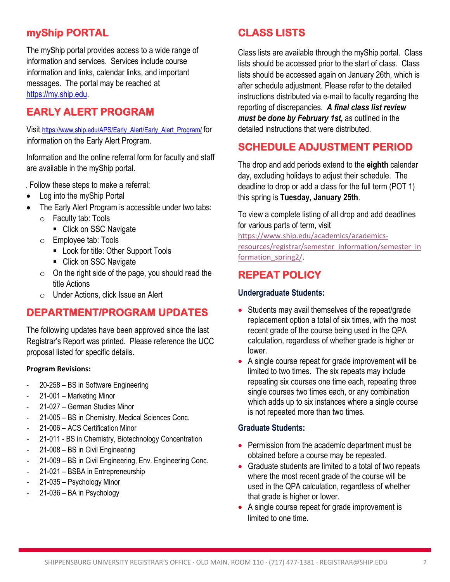# **myShip PORTAL**

The myShip portal provides access to a wide range of information and services. Services include course information and links, calendar links, and important messages. The portal may be reached at [https://my.ship.edu.](https://my.ship.edu/)

## **EARLY ALERT PROGRAM**

Visit [https://www.ship.edu/APS/Early\\_Alert/Early\\_Alert\\_Program/](https://www.ship.edu/APS/Early_Alert/Early_Alert_Program/) for information on the Early Alert Program.

Information and the online referral form for faculty and staff are available in the myShip portal.

Follow these steps to make a referral:

- Log into the myShip Portal
- The Early Alert Program is accessible under two tabs:
	- o Faculty tab: Tools
		- Click on SSC Navigate
	- o Employee tab: Tools
		- **Look for title: Other Support Tools**
		- Click on SSC Navigate
	- $\circ$  On the right side of the page, you should read the title Actions
	- o Under Actions, click Issue an Alert

#### **DEPARTMENT/PROGRAM UPDATES**

The following updates have been approved since the last Registrar's Report was printed. Please reference the UCC proposal listed for specific details.

#### **Program Revisions:**

- 20-258 BS in Software Engineering
- 21-001 Marketing Minor
- 21-027 German Studies Minor
- 21-005 BS in Chemistry, Medical Sciences Conc.
- 21-006 ACS Certification Minor
- 21-011 BS in Chemistry, Biotechnology Concentration
- 21-008 BS in Civil Engineering
- 21-009 BS in Civil Engineering, Env. Engineering Conc.
- 21-021 BSBA in Entrepreneurship
- 21-035 Psychology Minor
- 21-036 BA in Psychology

### **CLASS LISTS**

Class lists are available through the myShip portal. Class lists should be accessed prior to the start of class. Class lists should be accessed again on January 26th, which is after schedule adjustment. Please refer to the detailed instructions distributed via e-mail to faculty regarding the reporting of discrepancies. *A final class list review must be done by February 1st,* as outlined in the detailed instructions that were distributed.

### **SCHEDULE ADJUSTMENT PERIOD**

The drop and add periods extend to the **eighth** calendar day, excluding holidays to adjust their schedule. The deadline to drop or add a class for the full term (POT 1) this spring is **Tuesday, January 25th**.

To view a complete listing of all drop and add deadlines for various parts of term, visit

[https://www.ship.edu/academics/academics](https://www.ship.edu/academics/academics-resources/registrar/semester_information/semester_information_spring2/)[resources/registrar/semester\\_information/semester\\_in](https://www.ship.edu/academics/academics-resources/registrar/semester_information/semester_information_spring2/) [formation\\_spring2/.](https://www.ship.edu/academics/academics-resources/registrar/semester_information/semester_information_spring2/)

## **REPEAT POLICY**

#### **Undergraduate Students:**

- Students may avail themselves of the repeat/grade replacement option a total of six times, with the most recent grade of the course being used in the QPA calculation, regardless of whether grade is higher or lower.
- A single course repeat for grade improvement will be limited to two times. The six repeats may include repeating six courses one time each, repeating three single courses two times each, or any combination which adds up to six instances where a single course is not repeated more than two times.

#### **Graduate Students:**

- Permission from the academic department must be obtained before a course may be repeated.
- Graduate students are limited to a total of two repeats where the most recent grade of the course will be used in the QPA calculation, regardless of whether that grade is higher or lower.
- A single course repeat for grade improvement is limited to one time.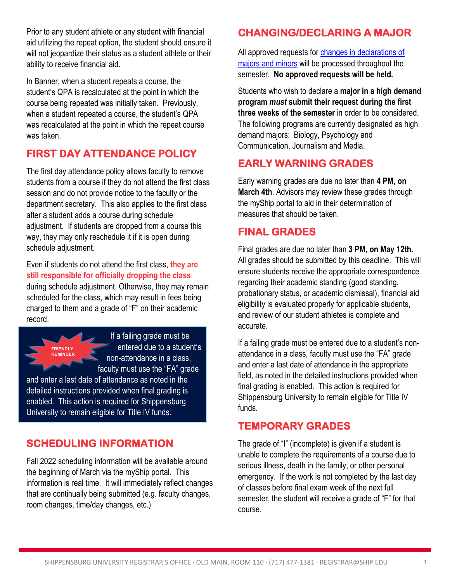Prior to any student athlete or any student with financial aid utilizing the repeat option, the student should ensure it will not jeopardize their status as a student athlete or their ability to receive financial aid.

In Banner, when a student repeats a course, the student's QPA is recalculated at the point in which the course being repeated was initially taken. Previously, when a student repeated a course, the student's QPA was recalculated at the point in which the repeat course was taken.

# **FIRST DAY ATTENDANCE POLICY**

The first day attendance policy allows faculty to remove students from a course if they do not attend the first class session and do not provide notice to the faculty or the department secretary. This also applies to the first class after a student adds a course during schedule adjustment. If students are dropped from a course this way, they may only reschedule it if it is open during schedule adjustment.

Even if students do not attend the first class, **they are still responsible for officially dropping the class** during schedule adjustment. Otherwise, they may remain scheduled for the class, which may result in fees being charged to them and a grade of "F" on their academic record.



If a failing grade must be entered due to a student's non-attendance in a class, faculty must use the "FA" grade

and enter a last date of attendance as noted in the detailed instructions provided when final grading is enabled. This action is required for Shippensburg University to remain eligible for Title IV funds.

# **SCHEDULING INFORMATION**

Fall 2022 scheduling information will be available around the beginning of March via the myShip portal. This information is real time. It will immediately reflect changes that are continually being submitted (e.g. faculty changes, room changes, time/day changes, etc.)

# **CHANGING/DECLARING A MAJOR**

All approved requests for changes in declarations of [majors and minors](http://www.ship.edu/Registrar/Declaration_of_Study/) will be processed throughout the semester. **No approved requests will be held.**

Students who wish to declare a **major in a high demand program** *must* **submit their request during the first three weeks of the semester** in order to be considered. The following programs are currently designated as high demand majors: Biology, Psychology and Communication, Journalism and Media.

# **EARLY WARNING GRADES**

Early warning grades are due no later than **4 PM, on March 4th**. Advisors may review these grades through the myShip portal to aid in their determination of measures that should be taken.

## **FINAL GRADES**

Final grades are due no later than **3 PM, on May 12th.** All grades should be submitted by this deadline. This will ensure students receive the appropriate correspondence regarding their academic standing (good standing, probationary status, or academic dismissal), financial aid eligibility is evaluated properly for applicable students, and review of our student athletes is complete and accurate.

If a failing grade must be entered due to a student's nonattendance in a class, faculty must use the "FA" grade and enter a last date of attendance in the appropriate field, as noted in the detailed instructions provided when final grading is enabled. This action is required for Shippensburg University to remain eligible for Title IV funds.

### **TEMPORARY GRADES**

The grade of "I" (incomplete) is given if a student is unable to complete the requirements of a course due to serious illness, death in the family, or other personal emergency. If the work is not completed by the last day of classes before final exam week of the next full semester, the student will receive a grade of "F" for that course.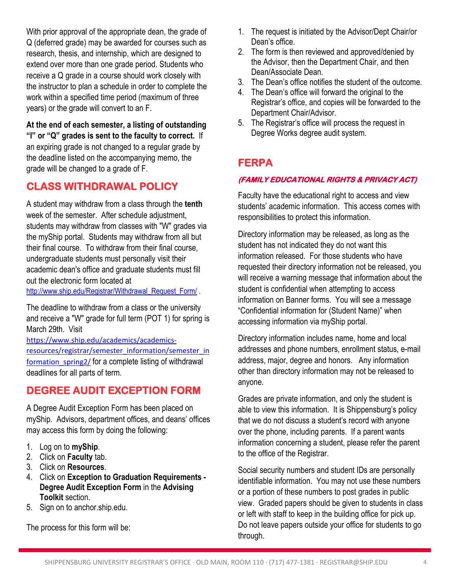With prior approval of the appropriate dean, the grade of Q (deferred grade) may be awarded for courses such as research, thesis, and internship, which are designed to extend over more than one grade period. Students who receive a Q grade in a course should work closely with the instructor to plan a schedule in order to complete the work within a specified time period (maximum of three years) or the grade will convert to an F.

**At the end of each semester, a listing of outstanding "I" or "Q" grades is sent to the faculty to correct.** If an expiring grade is not changed to a regular grade by the deadline listed on the accompanying memo, the grade will be changed to a grade of F.

#### **CLASS WITHDRAWAL POLICY**

A student may withdraw from a class through the **tenth** week of the semester. After schedule adjustment, students may withdraw from classes with "W" grades via the myShip portal. Students may withdraw from all but their final course. To withdraw from their final course, undergraduate students must personally visit their academic dean's office and graduate students must fill out the electronic form located at

[http://www.ship.edu/Registrar/Withdrawal\\_Request\\_Form/](http://www.ship.edu/Registrar/Withdrawal_Request_Form/) .

The deadline to withdraw from a class or the university and receive a "W" grade for full term (POT 1) for spring is March 29th. Visit

[https://www.ship.edu/academics/academics](https://www.ship.edu/academics/academics-resources/registrar/semester_information/semester_information_spring2/)[resources/registrar/semester\\_information/semester\\_in](https://www.ship.edu/academics/academics-resources/registrar/semester_information/semester_information_spring2/) formation spring2/ for a complete listing of withdrawal deadlines for all parts of term.

# **DEGREE AUDIT EXCEPTION FORM**

A Degree Audit Exception Form has been placed on myShip. Advisors, department offices, and deans' offices may access this form by doing the following:

- 1. Log on to **myShip**.
- 2. Click on **Faculty** tab.
- 3. Click on **Resources**.
- 4. Click on **Exception to Graduation Requirements - Degree Audit Exception Form** in the **Advising Toolkit** section.
- 5. Sign on to anchor.ship.edu.

The process for this form will be:

- 1. The request is initiated by the Advisor/Dept Chair/or Dean's office.
- 2. The form is then reviewed and approved/denied by the Advisor, then the Department Chair, and then Dean/Associate Dean.
- 3. The Dean's office notifies the student of the outcome.
- 4. The Dean's office will forward the original to the Registrar's office, and copies will be forwarded to the Department Chair/Advisor.
- 5. The Registrar's office will process the request in Degree Works degree audit system.

# **FERPA**

#### **(FAMILY EDUCATIONAL RIGHTS & PRIVACY ACT)**

Faculty have the educational right to access and view students' academic information. This access comes with responsibilities to protect this information.

Directory information may be released, as long as the student has not indicated they do not want this information released. For those students who have requested their directory information not be released, you will receive a warning message that information about the student is confidential when attempting to access information on Banner forms. You will see a message "Confidential information for (Student Name)" when accessing information via myShip portal.

Directory information includes name, home and local addresses and phone numbers, enrollment status, e-mail address, major, degree and honors. Any information other than directory information may not be released to anyone.

Grades are private information, and only the student is able to view this information. It is Shippensburg's policy that we do not discuss a student's record with anyone over the phone, including parents. If a parent wants information concerning a student, please refer the parent to the office of the Registrar.

Social security numbers and student IDs are personally identifiable information. You may not use these numbers or a portion of these numbers to post grades in public view. Graded papers should be given to students in class or left with staff to keep in the building office for pick up. Do not leave papers outside your office for students to go through.